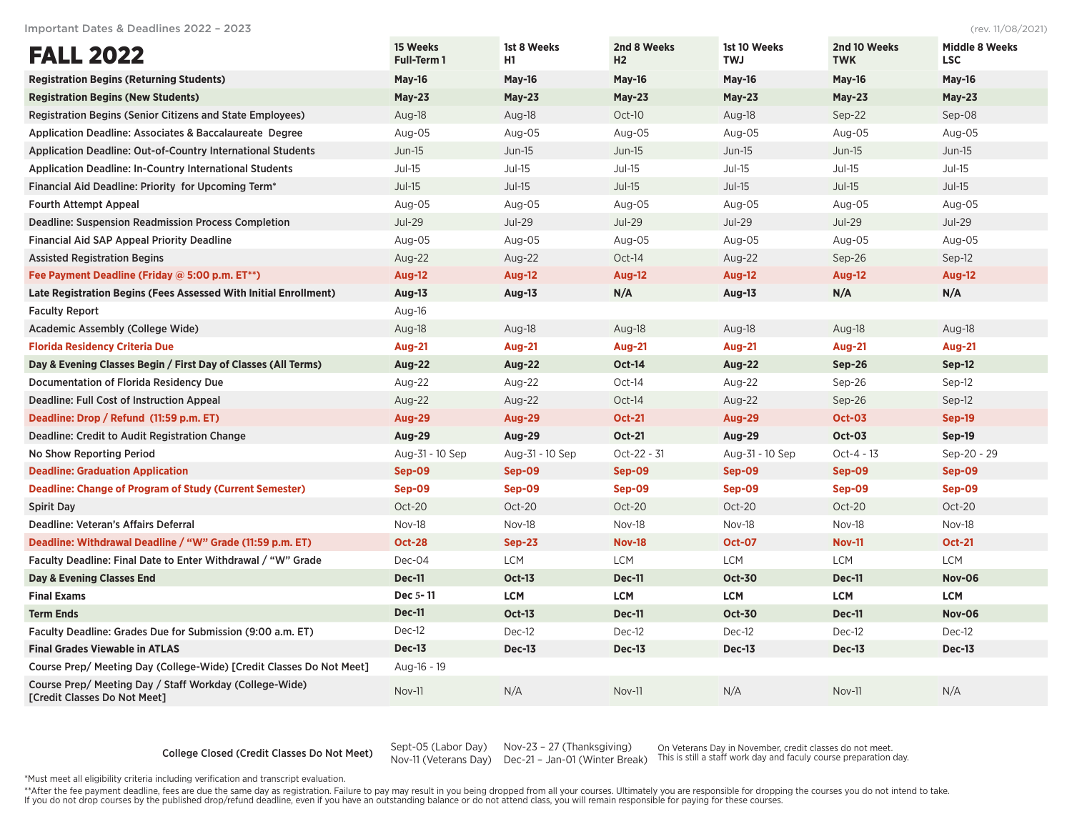Important Dates & Deadlines 2022 – 2023 (rev. 11/08/2021)

| <b>FALL 2022</b>                                                                        | 15 Weeks<br><b>Full-Term 1</b> | 1st 8 Weeks<br>H <sub>1</sub> | 2nd 8 Weeks<br>H2 | 1st 10 Weeks<br><b>TWJ</b> | 2nd 10 Weeks<br><b>TWK</b> | <b>Middle 8 Weeks</b><br><b>LSC</b> |
|-----------------------------------------------------------------------------------------|--------------------------------|-------------------------------|-------------------|----------------------------|----------------------------|-------------------------------------|
| <b>Registration Begins (Returning Students)</b>                                         | May-16                         | <b>May-16</b>                 | May-16            | May-16                     | May-16                     | May-16                              |
| <b>Registration Begins (New Students)</b>                                               | $May-23$                       | $May-23$                      | $May-23$          | $May-23$                   | $May-23$                   | $May-23$                            |
| <b>Registration Begins (Senior Citizens and State Employees)</b>                        | Aug-18                         | Aug-18                        | Oct-10            | Aug-18                     | Sep-22                     | Sep-08                              |
| <b>Application Deadline: Associates &amp; Baccalaureate Degree</b>                      | Aug-05                         | Aug-05                        | Aug-05            | Aug-05                     | Aug-05                     | Aug-05                              |
| <b>Application Deadline: Out-of-Country International Students</b>                      | $Jun-15$                       | $Jun-15$                      | $Jun-15$          | $Jun-15$                   | $Jun-15$                   | $Jun-15$                            |
| <b>Application Deadline: In-Country International Students</b>                          | $Jul-15$                       | $Jul-15$                      | $Jul-15$          | $Jul-15$                   | $Jul-15$                   | $Jul-15$                            |
| Financial Aid Deadline: Priority for Upcoming Term <sup>*</sup>                         | $Jul-15$                       | $Jul-15$                      | $Jul-15$          | $Jul-15$                   | $Jul-15$                   | $Jul-15$                            |
| <b>Fourth Attempt Appeal</b>                                                            | Aug-05                         | Aug-05                        | Aug-05            | Aug-05                     | Aug-05                     | Aug-05                              |
| <b>Deadline: Suspension Readmission Process Completion</b>                              | <b>Jul-29</b>                  | <b>Jul-29</b>                 | <b>Jul-29</b>     | <b>Jul-29</b>              | <b>Jul-29</b>              | <b>Jul-29</b>                       |
| <b>Financial Aid SAP Appeal Priority Deadline</b>                                       | Aug-05                         | Aug-05                        | Aug-05            | Aug-05                     | Aug-05                     | Aug-05                              |
| <b>Assisted Registration Begins</b>                                                     | Aug-22                         | Aug-22                        | Oct-14            | Aug-22                     | Sep-26                     | Sep-12                              |
| Fee Payment Deadline (Friday @ 5:00 p.m. ET**)                                          | <b>Aug-12</b>                  | <b>Aug-12</b>                 | <b>Aug-12</b>     | <b>Aug-12</b>              | <b>Aug-12</b>              | <b>Aug-12</b>                       |
| <b>Late Registration Begins (Fees Assessed With Initial Enrollment)</b>                 | Aug-13                         | Aug-13                        | N/A               | Aug-13                     | N/A                        | N/A                                 |
| <b>Faculty Report</b>                                                                   | Aug-16                         |                               |                   |                            |                            |                                     |
| Academic Assembly (College Wide)                                                        | Aug-18                         | Aug-18                        | Aug-18            | Aug-18                     | Aug-18                     | Aug-18                              |
| <b>Florida Residency Criteria Due</b>                                                   | <b>Aug-21</b>                  | <b>Aug-21</b>                 | <b>Aug-21</b>     | <b>Aug-21</b>              | <b>Aug-21</b>              | <b>Aug-21</b>                       |
| Day & Evening Classes Begin / First Day of Classes (All Terms)                          | <b>Aug-22</b>                  | <b>Aug-22</b>                 | <b>Oct-14</b>     | Aug-22                     | <b>Sep-26</b>              | Sep-12                              |
| Documentation of Florida Residency Due                                                  | Aug-22                         | Aug-22                        | Oct-14            | Aug-22                     | Sep-26                     | $Sep-12$                            |
| Deadline: Full Cost of Instruction Appeal                                               | Aug-22                         | Aug-22                        | Oct-14            | Aug-22                     | Sep-26                     | $Sep-12$                            |
| Deadline: Drop / Refund (11:59 p.m. ET)                                                 | <b>Aug-29</b>                  | <b>Aug-29</b>                 | <b>Oct-21</b>     | <b>Aug-29</b>              | <b>Oct-03</b>              | <b>Sep-19</b>                       |
| Deadline: Credit to Audit Registration Change                                           | <b>Aug-29</b>                  | Aug-29                        | <b>Oct-21</b>     | Aug-29                     | <b>Oct-03</b>              | Sep-19                              |
| No Show Reporting Period                                                                | Aug-31 - 10 Sep                | Aug-31 - 10 Sep               | Oct-22 - 31       | Aug-31 - 10 Sep            | Oct-4 - 13                 | Sep-20 - 29                         |
| <b>Deadline: Graduation Application</b>                                                 | Sep-09                         | Sep-09                        | Sep-09            | Sep-09                     | Sep-09                     | Sep-09                              |
| <b>Deadline: Change of Program of Study (Current Semester)</b>                          | Sep-09                         | Sep-09                        | Sep-09            | Sep-09                     | Sep-09                     | Sep-09                              |
| <b>Spirit Day</b>                                                                       | Oct-20                         | Oct-20                        | Oct-20            | Oct-20                     | Oct-20                     | Oct-20                              |
| Deadline: Veteran's Affairs Deferral                                                    | Nov-18                         | Nov-18                        | Nov-18            | Nov-18                     | Nov-18                     | Nov-18                              |
| Deadline: Withdrawal Deadline / "W" Grade (11:59 p.m. ET)                               | <b>Oct-28</b>                  | $Sep-23$                      | <b>Nov-18</b>     | <b>Oct-07</b>              | <b>Nov-11</b>              | <b>Oct-21</b>                       |
| Faculty Deadline: Final Date to Enter Withdrawal / "W" Grade                            | Dec-04                         | <b>LCM</b>                    | <b>LCM</b>        | <b>LCM</b>                 | <b>LCM</b>                 | <b>LCM</b>                          |
| Day & Evening Classes End                                                               | <b>Dec-11</b>                  | <b>Oct-13</b>                 | Dec-11            | <b>Oct-30</b>              | Dec-11                     | <b>Nov-06</b>                       |
| <b>Final Exams</b>                                                                      | Dec 5-11                       | <b>LCM</b>                    | <b>LCM</b>        | <b>LCM</b>                 | <b>LCM</b>                 | <b>LCM</b>                          |
| <b>Term Ends</b>                                                                        | <b>Dec-11</b>                  | <b>Oct-13</b>                 | Dec-11            | <b>Oct-30</b>              | <b>Dec-11</b>              | <b>Nov-06</b>                       |
| Faculty Deadline: Grades Due for Submission (9:00 a.m. ET)                              | Dec-12                         | Dec-12                        | Dec-12            | Dec-12                     | Dec-12                     | Dec-12                              |
| <b>Final Grades Viewable in ATLAS</b>                                                   | <b>Dec-13</b>                  | <b>Dec-13</b>                 | <b>Dec-13</b>     | <b>Dec-13</b>              | <b>Dec-13</b>              | <b>Dec-13</b>                       |
| Course Prep/ Meeting Day (College-Wide) [Credit Classes Do Not Meet]                    | Aug-16 - 19                    |                               |                   |                            |                            |                                     |
| Course Prep/ Meeting Day / Staff Workday (College-Wide)<br>[Credit Classes Do Not Meet] | <b>Nov-11</b>                  | N/A                           | <b>Nov-11</b>     | N/A                        | Nov-11                     | N/A                                 |

## College Closed (Credit Classes Do Not Meet) Sept-05 (Labor Day)

Nov-11 (Veterans Day) Dec-21 – Jan-01 (Winter Break) Nov-23 – 27 (Thanksgiving)

On Veterans Day in November, credit classes do not meet. This is still a staff work day and faculy course preparation day.

\*Must meet all eligibility criteria including verification and transcript evaluation.

\*\*After the fee payment deadline, fees are due the same day as registration. Failure to pay may result in you being dropped from all your courses. Ultimately you are responsible for dropping the courses you do not intend t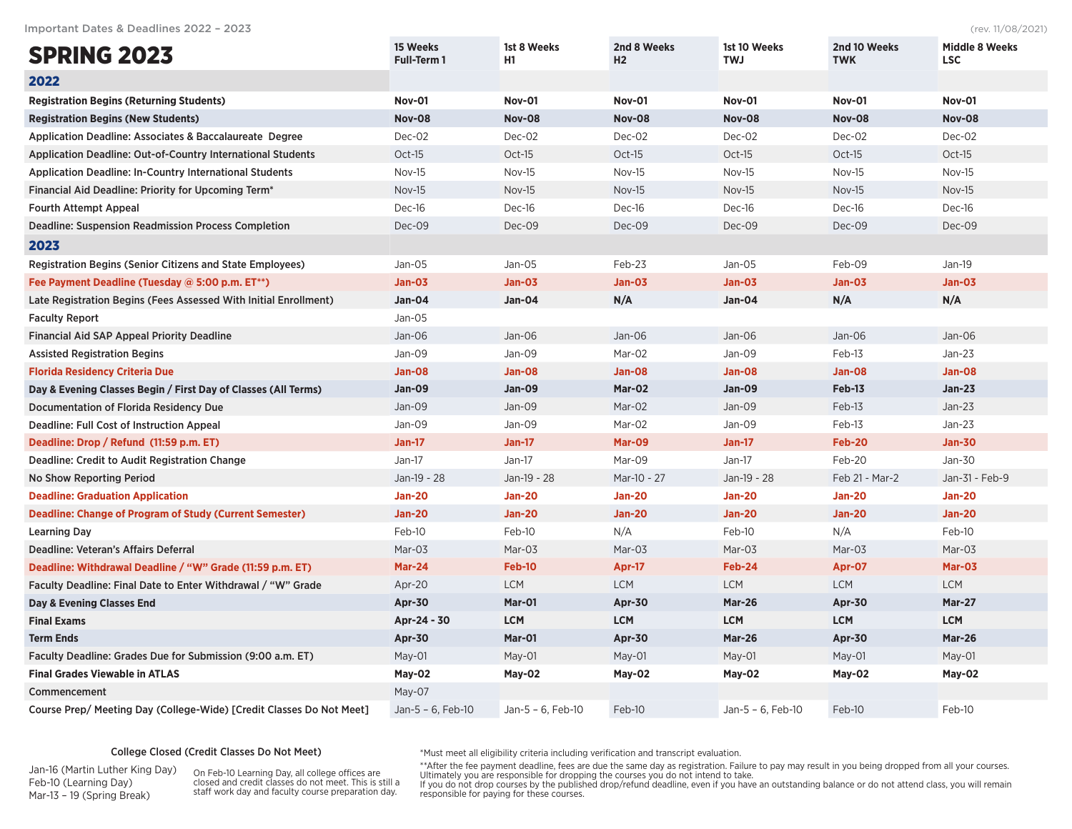Important Dates & Deadlines 2022 – 2023 (rev. 11/08/2021)

| <b>SPRING 2023</b>                                                   | 15 Weeks<br>Full-Term 1 | 1st 8 Weeks<br>H <sub>1</sub> | 2nd 8 Weeks<br>H <sub>2</sub> | 1st 10 Weeks<br><b>TWJ</b> | 2nd 10 Weeks<br><b>TWK</b> | <b>Middle 8 Weeks</b><br><b>LSC</b> |
|----------------------------------------------------------------------|-------------------------|-------------------------------|-------------------------------|----------------------------|----------------------------|-------------------------------------|
| 2022                                                                 |                         |                               |                               |                            |                            |                                     |
| <b>Registration Begins (Returning Students)</b>                      | <b>Nov-01</b>           | <b>Nov-01</b>                 | <b>Nov-01</b>                 | <b>Nov-01</b>              | <b>Nov-01</b>              | <b>Nov-01</b>                       |
| <b>Registration Begins (New Students)</b>                            | <b>Nov-08</b>           | <b>Nov-08</b>                 | <b>Nov-08</b>                 | <b>Nov-08</b>              | <b>Nov-08</b>              | <b>Nov-08</b>                       |
| <b>Application Deadline: Associates &amp; Baccalaureate Degree</b>   | Dec-02                  | Dec-02                        | Dec-02                        | Dec-02                     | Dec-02                     | Dec-02                              |
| <b>Application Deadline: Out-of-Country International Students</b>   | Oct-15                  | $Oct-15$                      | $Oct-15$                      | Oct-15                     | Oct-15                     | Oct-15                              |
| <b>Application Deadline: In-Country International Students</b>       | Nov-15                  | Nov-15                        | Nov-15                        | Nov-15                     | Nov-15                     | Nov-15                              |
| Financial Aid Deadline: Priority for Upcoming Term*                  | Nov-15                  | Nov-15                        | <b>Nov-15</b>                 | <b>Nov-15</b>              | <b>Nov-15</b>              | Nov-15                              |
| <b>Fourth Attempt Appeal</b>                                         | Dec-16                  | Dec-16                        | Dec-16                        | Dec-16                     | Dec-16                     | Dec-16                              |
| <b>Deadline: Suspension Readmission Process Completion</b>           | Dec-09                  | Dec-09                        | Dec-09                        | Dec-09                     | Dec-09                     | Dec-09                              |
| 2023                                                                 |                         |                               |                               |                            |                            |                                     |
| <b>Registration Begins (Senior Citizens and State Employees)</b>     | Jan-05                  | Jan-05                        | Feb-23                        | $Jan-05$                   | Feb-09                     | $Jan-19$                            |
| Fee Payment Deadline (Tuesday @ 5:00 p.m. ET**)                      | Jan-03                  | <b>Jan-03</b>                 | <b>Jan-03</b>                 | <b>Jan-03</b>              | <b>Jan-03</b>              | <b>Jan-03</b>                       |
| Late Registration Begins (Fees Assessed With Initial Enrollment)     | <b>Jan-04</b>           | Jan-04                        | N/A                           | <b>Jan-04</b>              | N/A                        | N/A                                 |
| <b>Faculty Report</b>                                                | $Jan-05$                |                               |                               |                            |                            |                                     |
| <b>Financial Aid SAP Appeal Priority Deadline</b>                    | $Jan-06$                | Jan-06                        | Jan-06                        | $Jan-06$                   | $Jan-06$                   | Jan-06                              |
| <b>Assisted Registration Begins</b>                                  | Jan-09                  | Jan-09                        | Mar-02                        | Jan-09                     | Feb-13                     | $Jan-23$                            |
| <b>Florida Residency Criteria Due</b>                                | Jan-08                  | <b>Jan-08</b>                 | Jan-08                        | Jan-08                     | Jan-08                     | <b>Jan-08</b>                       |
| Day & Evening Classes Begin / First Day of Classes (All Terms)       | <b>Jan-09</b>           | <b>Jan-09</b>                 | Mar-02                        | <b>Jan-09</b>              | Feb-13                     | $Jan-23$                            |
| <b>Documentation of Florida Residency Due</b>                        | Jan-09                  | Jan-09                        | Mar-02                        | Jan-09                     | Feb-13                     | $Jan-23$                            |
| Deadline: Full Cost of Instruction Appeal                            | Jan-09                  | Jan-09                        | Mar-02                        | Jan-09                     | Feb-13                     | $Jan-23$                            |
| Deadline: Drop / Refund (11:59 p.m. ET)                              | <b>Jan-17</b>           | <b>Jan-17</b>                 | <b>Mar-09</b>                 | <b>Jan-17</b>              | <b>Feb-20</b>              | <b>Jan-30</b>                       |
| Deadline: Credit to Audit Registration Change                        | $Jan-17$                | $Jan-17$                      | Mar-09                        | $Jan-17$                   | Feb-20                     | Jan-30                              |
| <b>No Show Reporting Period</b>                                      | Jan-19 - 28             | Jan-19 - 28                   | Mar-10 - 27                   | Jan-19 - 28                | Feb 21 - Mar-2             | Jan-31 - Feb-9                      |
| <b>Deadline: Graduation Application</b>                              | <b>Jan-20</b>           | <b>Jan-20</b>                 | <b>Jan-20</b>                 | <b>Jan-20</b>              | <b>Jan-20</b>              | <b>Jan-20</b>                       |
| <b>Deadline: Change of Program of Study (Current Semester)</b>       | <b>Jan-20</b>           | <b>Jan-20</b>                 | <b>Jan-20</b>                 | <b>Jan-20</b>              | <b>Jan-20</b>              | <b>Jan-20</b>                       |
| <b>Learning Day</b>                                                  | Feb-10                  | Feb-10                        | N/A                           | Feb-10                     | N/A                        | Feb-10                              |
| Deadline: Veteran's Affairs Deferral                                 | Mar-03                  | Mar-03                        | Mar-03                        | Mar-03                     | Mar-03                     | Mar-03                              |
| Deadline: Withdrawal Deadline / "W" Grade (11:59 p.m. ET)            | <b>Mar-24</b>           | <b>Feb-10</b>                 | Apr-17                        | Feb-24                     | Apr-07                     | Mar-03                              |
| Faculty Deadline: Final Date to Enter Withdrawal / "W" Grade         | Apr-20                  | <b>LCM</b>                    | <b>LCM</b>                    | <b>LCM</b>                 | <b>LCM</b>                 | <b>LCM</b>                          |
| Day & Evening Classes End                                            | Apr-30                  | Mar-01                        | Apr-30                        | <b>Mar-26</b>              | <b>Apr-30</b>              | <b>Mar-27</b>                       |
| <b>Final Exams</b>                                                   | Apr-24 - 30             | <b>LCM</b>                    | <b>LCM</b>                    | <b>LCM</b>                 | <b>LCM</b>                 | <b>LCM</b>                          |
| <b>Term Ends</b>                                                     | <b>Apr-30</b>           | Mar-01                        | Apr-30                        | <b>Mar-26</b>              | <b>Apr-30</b>              | <b>Mar-26</b>                       |
| Faculty Deadline: Grades Due for Submission (9:00 a.m. ET)           | $May-01$                | $May-01$                      | $May-01$                      | $May-01$                   | $May-01$                   | May-01                              |
| <b>Final Grades Viewable in ATLAS</b>                                | May-02                  | May-02                        | May-02                        | May-02                     | May-02                     | May-02                              |
| Commencement                                                         | May-07                  |                               |                               |                            |                            |                                     |
| Course Prep/ Meeting Day (College-Wide) [Credit Classes Do Not Meet] | Jan-5 - 6, Feb-10       | Jan-5 - 6, Feb-10             | Feb-10                        | Jan-5 - 6, Feb-10          | Feb-10                     | Feb-10                              |

## College Closed (Credit Classes Do Not Meet)

Jan-16 (Martin Luther King Day) Feb-10 (Learning Day) Mar-13 – 19 (Spring Break)

On Feb-10 Learning Day, all college offices are closed and credit classes do not meet. This is still a staff work day and faculty course preparation day.

\*Must meet all eligibility criteria including verification and transcript evaluation.

\*\*After the fee payment deadline, fees are due the same day as registration. Failure to pay may result in you being dropped from all your courses.<br>Ultimately you are responsible for dropping the courses you do not intend t